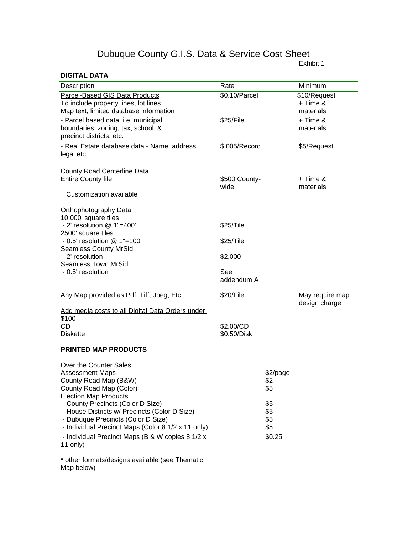## Dubuque County G.I.S. Data & Service Cost Sheet

## **DIGITAL DATA**

Exhibit 1

| Description                                             | Rate          |                 | Minimum         |
|---------------------------------------------------------|---------------|-----------------|-----------------|
| <b>Parcel-Based GIS Data Products</b>                   | \$0.10/Parcel |                 | \$10/Request    |
| To include property lines, lot lines                    |               |                 | + Time &        |
| Map text, limited database information                  |               |                 | materials       |
| - Parcel based data, i.e. municipal                     | \$25/File     |                 | + Time &        |
| boundaries, zoning, tax, school, &                      |               |                 | materials       |
| precinct districts, etc.                                |               |                 |                 |
|                                                         |               |                 |                 |
| - Real Estate database data - Name, address,            | \$.005/Record |                 | \$5/Request     |
| legal etc.                                              |               |                 |                 |
|                                                         |               |                 |                 |
| <b>County Road Centerline Data</b>                      |               |                 |                 |
| <b>Entire County file</b>                               | \$500 County- |                 | + Time &        |
|                                                         | wide          |                 | materials       |
| Customization available                                 |               |                 |                 |
| <b>Orthophotography Data</b>                            |               |                 |                 |
| 10,000' square tiles                                    |               |                 |                 |
| - 2' resolution @ 1"=400'                               | \$25/Tile     |                 |                 |
| 2500' square tiles                                      |               |                 |                 |
| $-0.5'$ resolution $@1"=100'$                           | \$25/Tile     |                 |                 |
| <b>Seamless County MrSid</b>                            |               |                 |                 |
| - 2' resolution                                         | \$2,000       |                 |                 |
| <b>Seamless Town MrSid</b>                              |               |                 |                 |
| - 0.5' resolution                                       | See           |                 |                 |
|                                                         | addendum A    |                 |                 |
|                                                         |               |                 |                 |
| Any Map provided as Pdf, Tiff, Jpeg, Etc                | \$20/File     |                 | May require map |
|                                                         |               |                 | design charge   |
| Add media costs to all Digital Data Orders under        |               |                 |                 |
| \$100                                                   |               |                 |                 |
| <b>CD</b>                                               | \$2.00/CD     |                 |                 |
| <b>Diskette</b>                                         | \$0.50/Disk   |                 |                 |
|                                                         |               |                 |                 |
| <b>PRINTED MAP PRODUCTS</b>                             |               |                 |                 |
|                                                         |               |                 |                 |
| Over the Counter Sales                                  |               |                 |                 |
| <b>Assessment Maps</b><br>County Road Map (B&W)         |               | \$2/page<br>\$2 |                 |
|                                                         |               | \$5             |                 |
| County Road Map (Color)<br><b>Election Map Products</b> |               |                 |                 |
| - County Precincts (Color D Size)                       |               | \$5             |                 |
| - House Districts w/ Precincts (Color D Size)           |               | \$5             |                 |
| - Dubuque Precincts (Color D Size)                      |               | \$5             |                 |
| - Individual Precinct Maps (Color 8 1/2 x 11 only)      |               | \$5             |                 |
|                                                         |               |                 |                 |
| - Individual Precinct Maps (B & W copies 8 1/2 x        |               | \$0.25          |                 |
| 11 only)                                                |               |                 |                 |
|                                                         |               |                 |                 |

\* other formats/designs available (see Thematic Map below)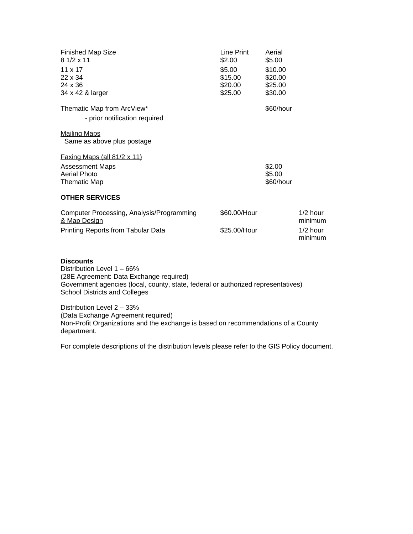| <b>Finished Map Size</b><br>$81/2 \times 11$<br>$11 \times 17$<br>$22 \times 34$<br>24 x 36<br>34 x 42 & larger | Line Print<br>\$2.00<br>\$5.00<br>\$15.00<br>\$20.00<br>\$25.00 | Aerial<br>\$5.00<br>\$10.00<br>\$20.00<br>\$25.00<br>\$30.00 |                       |
|-----------------------------------------------------------------------------------------------------------------|-----------------------------------------------------------------|--------------------------------------------------------------|-----------------------|
| Thematic Map from ArcView*<br>- prior notification required                                                     |                                                                 | \$60/hour                                                    |                       |
| <b>Mailing Maps</b><br>Same as above plus postage                                                               |                                                                 |                                                              |                       |
| Faxing Maps (all $81/2 \times 11$ )                                                                             |                                                                 |                                                              |                       |
| <b>Assessment Maps</b><br>Aerial Photo<br><b>Thematic Map</b>                                                   |                                                                 | \$2.00<br>\$5.00<br>\$60/hour                                |                       |
| <b>OTHER SERVICES</b>                                                                                           |                                                                 |                                                              |                       |
| <b>Computer Processing, Analysis/Programming</b><br>& Map Design                                                | \$60.00/Hour                                                    |                                                              | $1/2$ hour<br>minimum |
| <b>Printing Reports from Tabular Data</b>                                                                       | \$25.00/Hour                                                    |                                                              | $1/2$ hour<br>minimum |
|                                                                                                                 |                                                                 |                                                              |                       |
| <b>Discounts</b>                                                                                                |                                                                 |                                                              |                       |

Distribution Level 1 – 66% (28E Agreement: Data Exchange required) Government agencies (local, county, state, federal or authorized representatives) School Districts and Colleges

Distribution Level 2 – 33% (Data Exchange Agreement required) Non-Profit Organizations and the exchange is based on recommendations of a County department.

For complete descriptions of the distribution levels please refer to the GIS Policy document.